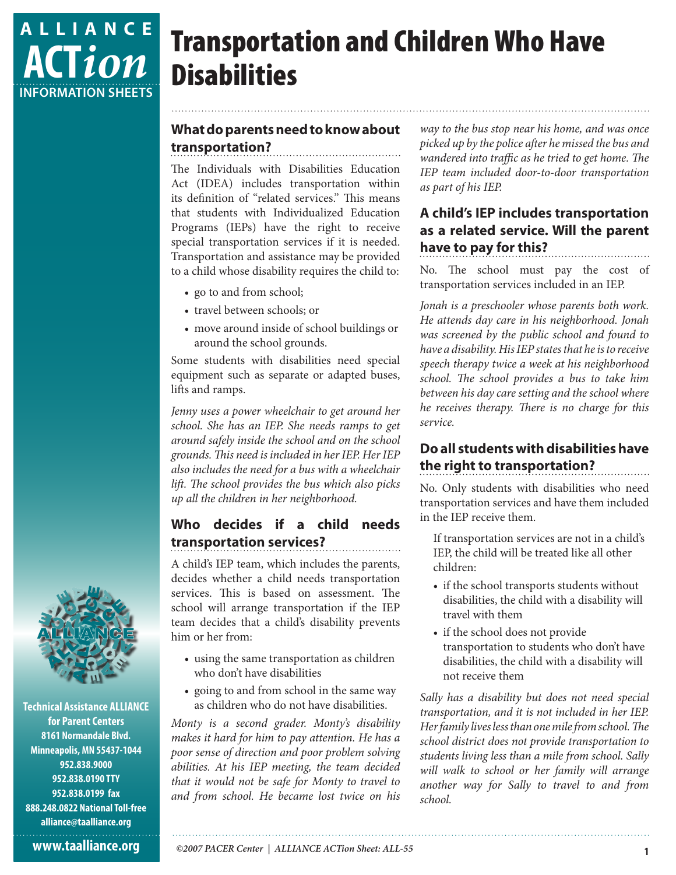

# Transportation and Children Who Have **Disabilities**

### **What do parents need to know about transportation?**

The Individuals with Disabilities Education Act (IDEA) includes transportation within its definition of "related services." This means that students with Individualized Education Programs (IEPs) have the right to receive special transportation services if it is needed. Transportation and assistance may be provided to a child whose disability requires the child to:

- go to and from school;
- travel between schools; or
- move around inside of school buildings or around the school grounds.

Some students with disabilities need special equipment such as separate or adapted buses, lifts and ramps.

*Jenny uses a power wheelchair to get around her school. She has an IEP. She needs ramps to get around safely inside the school and on the school grounds. This need is included in her IEP. Her IEP also includes the need for a bus with a wheelchair lift. The school provides the bus which also picks up all the children in her neighborhood.*

## **Who decides if a child needs transportation services?**

A child's IEP team, which includes the parents, decides whether a child needs transportation services. This is based on assessment. The school will arrange transportation if the IEP team decides that a child's disability prevents him or her from:

- using the same transportation as children who don't have disabilities
- going to and from school in the same way as children who do not have disabilities.

*Monty is a second grader. Monty's disability makes it hard for him to pay attention. He has a poor sense of direction and poor problem solving abilities. At his IEP meeting, the team decided that it would not be safe for Monty to travel to and from school. He became lost twice on his* 

*way to the bus stop near his home, and was once picked up by the police after he missed the bus and wandered into traffic as he tried to get home. The IEP team included door-to-door transportation as part of his IEP.*

## **A child's IEP includes transportation as a related service. Will the parent have to pay for this?**

No. The school must pay the cost of transportation services included in an IEP.

*Jonah is a preschooler whose parents both work. He attends day care in his neighborhood. Jonah was screened by the public school and found to have a disability. His IEP states that he is to receive speech therapy twice a week at his neighborhood school. The school provides a bus to take him between his day care setting and the school where he receives therapy. There is no charge for this service.*

# **Do all students with disabilities have the right to transportation?**

No. Only students with disabilities who need transportation services and have them included in the IEP receive them.

If transportation services are not in a child's IEP, the child will be treated like all other children:

- if the school transports students without disabilities, the child with a disability will travel with them
- if the school does not provide transportation to students who don't have disabilities, the child with a disability will not receive them

*Sally has a disability but does not need special transportation, and it is not included in her IEP. Her family lives less than one mile from school. The school district does not provide transportation to students living less than a mile from school. Sally will walk to school or her family will arrange another way for Sally to travel to and from school.* 



**Technical Assistance ALLIANCE for Parent Centers 8161 Normandale Blvd. Minneapolis, MN 55437-1044 952.838.9000 952.838.0190 TTY 952.838.0199 fax 888.248.0822 National Toll-free alliance@taalliance.org**